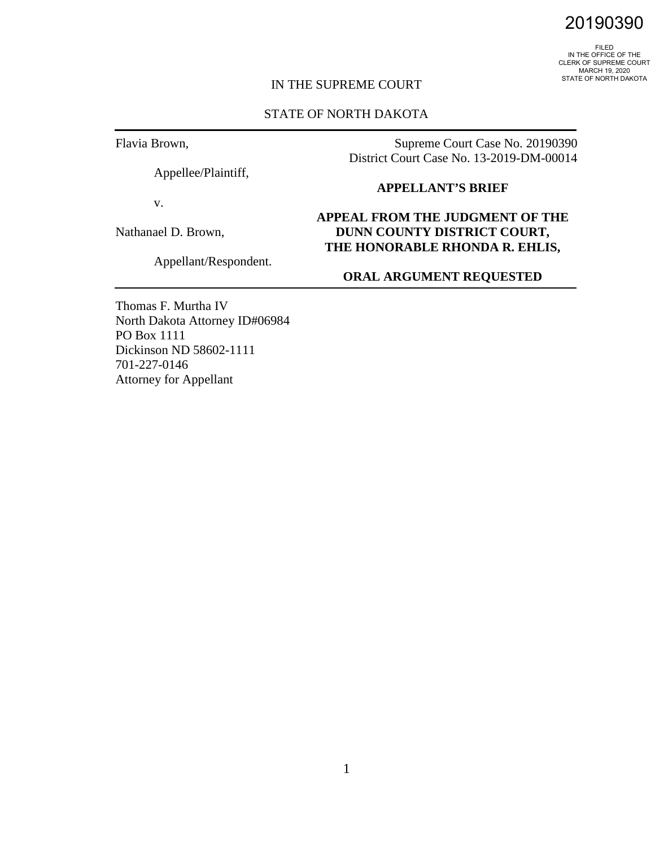FILED<br>IN THE OFFICE OF THE<br>CLERK OF SUPREME COURT<br>MARCH 19, 2020 STATE OF NORTH DAKOTA

## IN THE SUPREME COURT

## STATE OF NORTH DAKOTA

Flavia Brown,

Appellee/Plaintiff,

v.

Nathanael D. Brown,

Appellant/Respondent.

Supreme Court Case No. 20190390 District Court Case No. 13-2019-DM-00014

#### **APPELLANT'S BRIEF**

# **APPEAL FROM THE JUDGMENT OF THE DUNN COUNTY DISTRICT COURT, THE HONORABLE RHONDA R. EHLIS,**

## **ORAL ARGUMENT REQUESTED**

Thomas F. Murtha IV North Dakota Attorney ID#06984 PO Box 1111 Dickinson ND 58602-1111 701-227-0146 Attorney for Appellant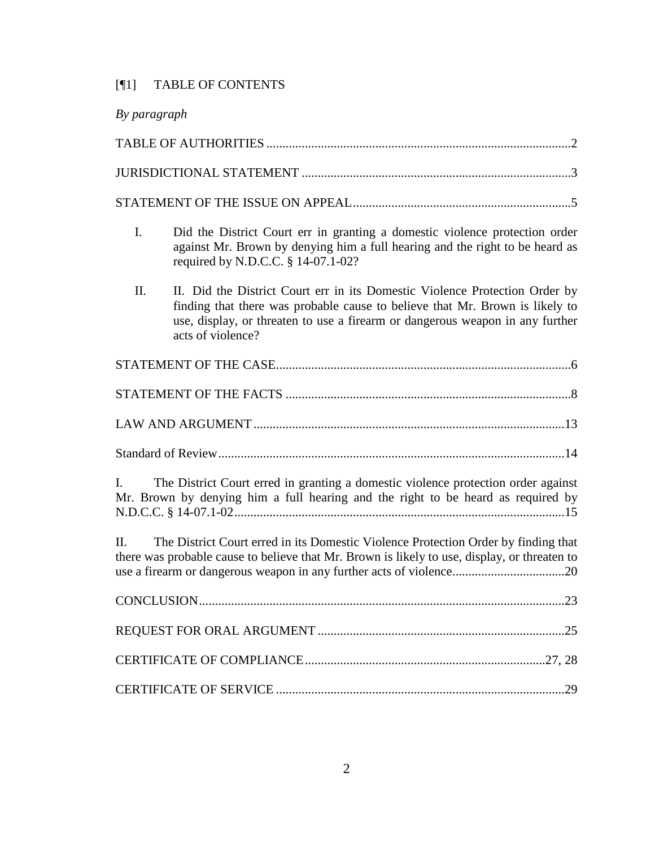# [¶1] TABLE OF CONTENTS

| By paragraph                                                                                                                                                                              |                                                                                                                                                                                                                                                                   |  |  |
|-------------------------------------------------------------------------------------------------------------------------------------------------------------------------------------------|-------------------------------------------------------------------------------------------------------------------------------------------------------------------------------------------------------------------------------------------------------------------|--|--|
|                                                                                                                                                                                           |                                                                                                                                                                                                                                                                   |  |  |
|                                                                                                                                                                                           |                                                                                                                                                                                                                                                                   |  |  |
|                                                                                                                                                                                           |                                                                                                                                                                                                                                                                   |  |  |
| I.                                                                                                                                                                                        | Did the District Court err in granting a domestic violence protection order<br>against Mr. Brown by denying him a full hearing and the right to be heard as<br>required by N.D.C.C. § 14-07.1-02?                                                                 |  |  |
| II.                                                                                                                                                                                       | II. Did the District Court err in its Domestic Violence Protection Order by<br>finding that there was probable cause to believe that Mr. Brown is likely to<br>use, display, or threaten to use a firearm or dangerous weapon in any further<br>acts of violence? |  |  |
|                                                                                                                                                                                           |                                                                                                                                                                                                                                                                   |  |  |
|                                                                                                                                                                                           |                                                                                                                                                                                                                                                                   |  |  |
|                                                                                                                                                                                           |                                                                                                                                                                                                                                                                   |  |  |
|                                                                                                                                                                                           |                                                                                                                                                                                                                                                                   |  |  |
| The District Court erred in granting a domestic violence protection order against<br>L.<br>Mr. Brown by denying him a full hearing and the right to be heard as required by               |                                                                                                                                                                                                                                                                   |  |  |
| The District Court erred in its Domestic Violence Protection Order by finding that<br>II.<br>there was probable cause to believe that Mr. Brown is likely to use, display, or threaten to |                                                                                                                                                                                                                                                                   |  |  |
|                                                                                                                                                                                           |                                                                                                                                                                                                                                                                   |  |  |
|                                                                                                                                                                                           |                                                                                                                                                                                                                                                                   |  |  |
|                                                                                                                                                                                           |                                                                                                                                                                                                                                                                   |  |  |
|                                                                                                                                                                                           |                                                                                                                                                                                                                                                                   |  |  |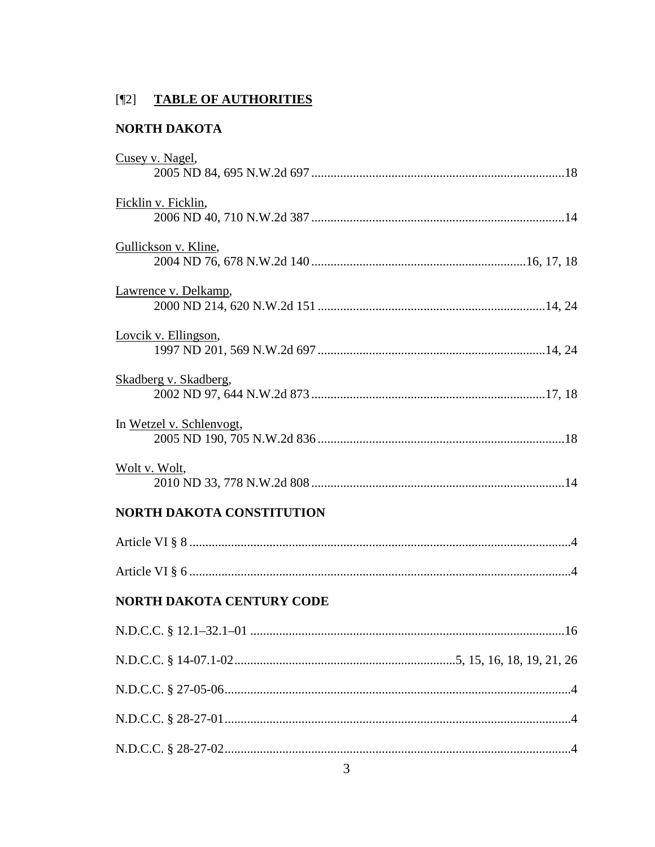# [¶2] TABLE OF AUTHORITIES

# NORTH DAKOTA

| Cusey v. Nagel,                  |  |  |
|----------------------------------|--|--|
| Ficklin v. Ficklin,              |  |  |
| Gullickson v. Kline,             |  |  |
| Lawrence v. Delkamp,             |  |  |
| Lovcik v. Ellingson,             |  |  |
| Skadberg v. Skadberg,            |  |  |
| In Wetzel v. Schlenvogt,         |  |  |
| Wolt v. Wolt,                    |  |  |
| <b>NORTH DAKOTA CONSTITUTION</b> |  |  |
|                                  |  |  |
|                                  |  |  |
| NORTH DAKOTA CENTURY CODE        |  |  |
| .16                              |  |  |
|                                  |  |  |
|                                  |  |  |
|                                  |  |  |
|                                  |  |  |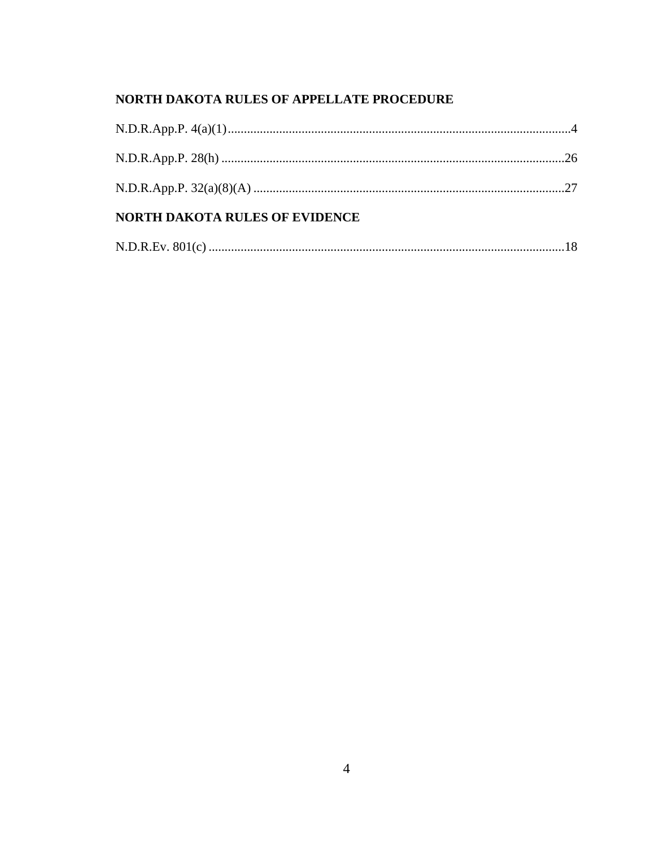# NORTH DAKOTA RULES OF APPELLATE PROCEDURE

| <b>NORTH DAKOTA RULES OF EVIDENCE</b> |  |  |  |
|---------------------------------------|--|--|--|
|                                       |  |  |  |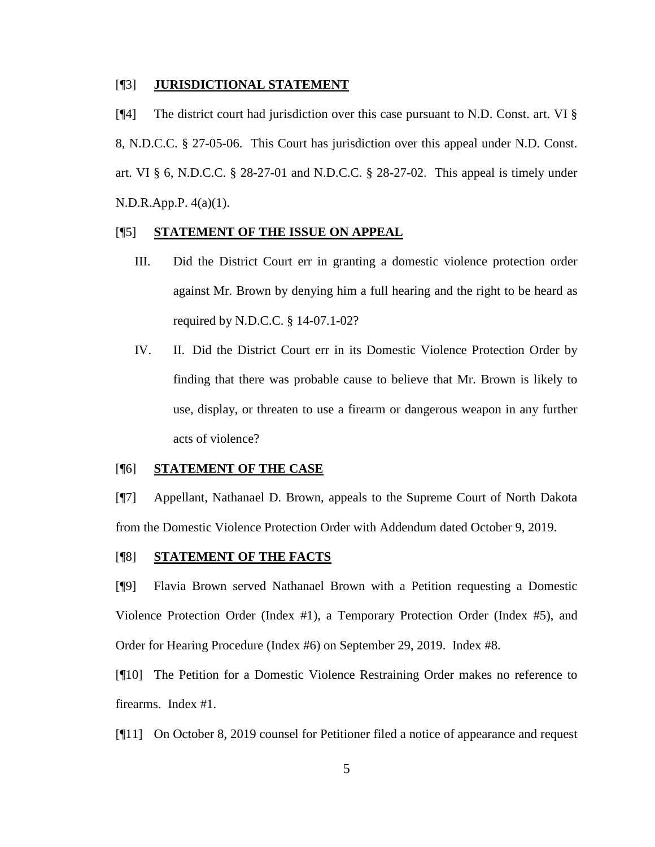#### [¶3] **JURISDICTIONAL STATEMENT**

[¶4] The district court had jurisdiction over this case pursuant to N.D. Const. art. VI § 8, N.D.C.C. § 27-05-06. This Court has jurisdiction over this appeal under N.D. Const. art. VI § 6, N.D.C.C. § 28-27-01 and N.D.C.C. § 28-27-02. This appeal is timely under N.D.R.App.P. 4(a)(1).

#### [¶5] **STATEMENT OF THE ISSUE ON APPEAL**

- III. Did the District Court err in granting a domestic violence protection order against Mr. Brown by denying him a full hearing and the right to be heard as required by N.D.C.C. § 14-07.1-02?
- IV. II. Did the District Court err in its Domestic Violence Protection Order by finding that there was probable cause to believe that Mr. Brown is likely to use, display, or threaten to use a firearm or dangerous weapon in any further acts of violence?

#### [¶6] **STATEMENT OF THE CASE**

[¶7] Appellant, Nathanael D. Brown, appeals to the Supreme Court of North Dakota from the Domestic Violence Protection Order with Addendum dated October 9, 2019.

### [¶8] **STATEMENT OF THE FACTS**

[¶9] Flavia Brown served Nathanael Brown with a Petition requesting a Domestic Violence Protection Order (Index #1), a Temporary Protection Order (Index #5), and Order for Hearing Procedure (Index #6) on September 29, 2019. Index #8.

[¶10] The Petition for a Domestic Violence Restraining Order makes no reference to firearms. Index #1.

[¶11] On October 8, 2019 counsel for Petitioner filed a notice of appearance and request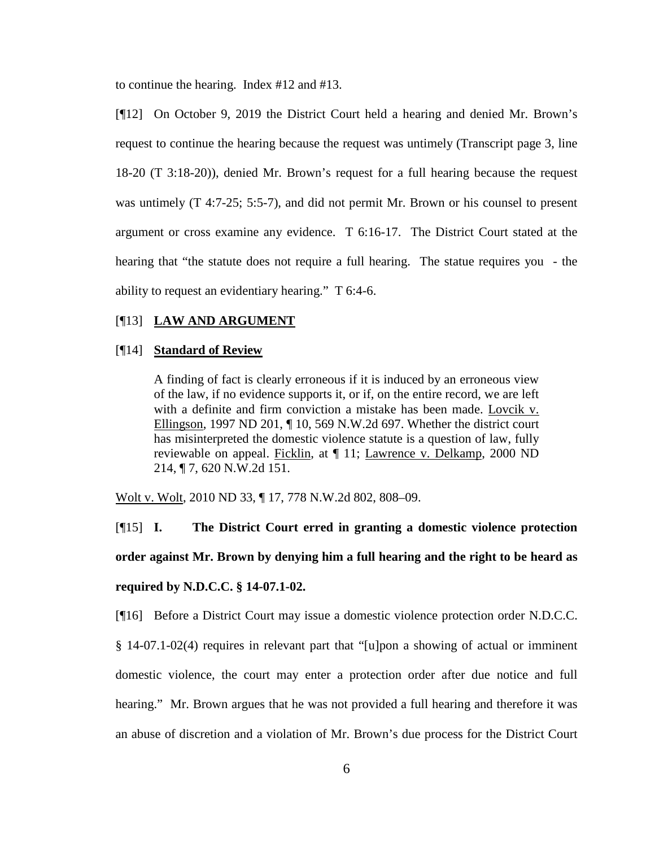to continue the hearing. Index #12 and #13.

[¶12] On October 9, 2019 the District Court held a hearing and denied Mr. Brown's request to continue the hearing because the request was untimely (Transcript page 3, line 18-20 (T 3:18-20)), denied Mr. Brown's request for a full hearing because the request was untimely (T 4:7-25; 5:5-7), and did not permit Mr. Brown or his counsel to present argument or cross examine any evidence. T 6:16-17. The District Court stated at the hearing that "the statute does not require a full hearing. The statue requires you - the ability to request an evidentiary hearing." T 6:4-6.

#### [¶13] **LAW AND ARGUMENT**

#### [¶14] **Standard of Review**

A finding of fact is clearly erroneous if it is induced by an erroneous view of the law, if no evidence supports it, or if, on the entire record, we are left with a definite and firm conviction a mistake has been made. Lovcik v. Ellingson, 1997 ND 201, ¶ 10, 569 N.W.2d 697. Whether the district court has misinterpreted the domestic violence statute is a question of law, fully reviewable on appeal. Ficklin, at ¶ 11; Lawrence v. Delkamp, 2000 ND 214, ¶ 7, 620 N.W.2d 151.

Wolt v. Wolt, 2010 ND 33, ¶ 17, 778 N.W.2d 802, 808–09.

[¶15] **I. The District Court erred in granting a domestic violence protection order against Mr. Brown by denying him a full hearing and the right to be heard as required by N.D.C.C. § 14-07.1-02.**

[¶16] Before a District Court may issue a domestic violence protection order N.D.C.C. § 14-07.1-02(4) requires in relevant part that "[u]pon a showing of actual or imminent domestic violence, the court may enter a protection order after due notice and full hearing." Mr. Brown argues that he was not provided a full hearing and therefore it was an abuse of discretion and a violation of Mr. Brown's due process for the District Court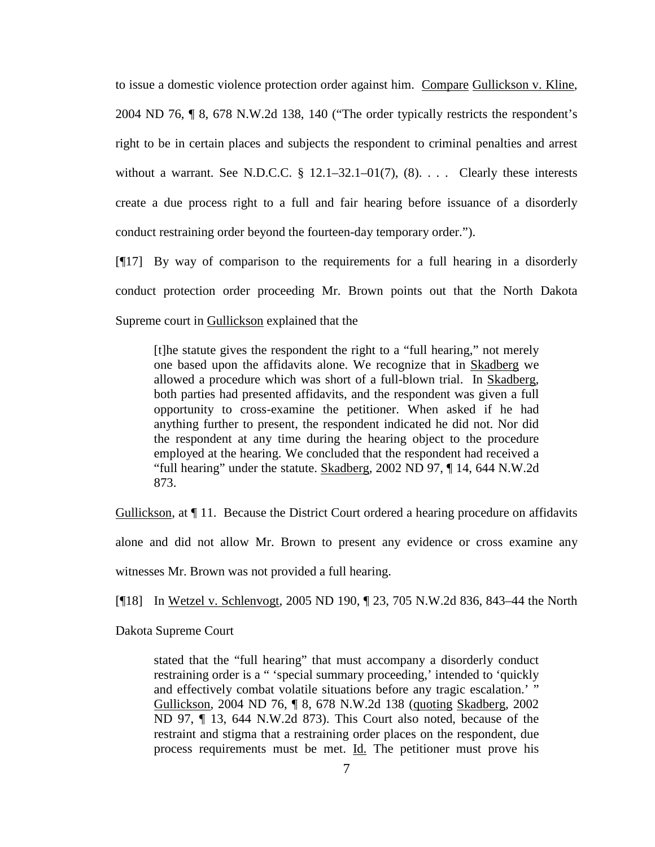to issue a domestic violence protection order against him. Compare Gullickson v. Kline, 2004 ND 76, ¶ 8, 678 N.W.2d 138, 140 ("The order typically restricts the respondent's right to be in certain places and subjects the respondent to criminal penalties and arrest without a warrant. See N.D.C.C.  $\S$  12.1–32.1–01(7), (8). . . . Clearly these interests create a due process right to a full and fair hearing before issuance of a disorderly conduct restraining order beyond the fourteen-day temporary order.").

[¶17] By way of comparison to the requirements for a full hearing in a disorderly conduct protection order proceeding Mr. Brown points out that the North Dakota Supreme court in Gullickson explained that the

[t]he statute gives the respondent the right to a "full hearing," not merely one based upon the affidavits alone. We recognize that in Skadberg we allowed a procedure which was short of a full-blown trial. In Skadberg*,* both parties had presented affidavits, and the respondent was given a full opportunity to cross-examine the petitioner. When asked if he had anything further to present, the respondent indicated he did not. Nor did the respondent at any time during the hearing object to the procedure employed at the hearing. We concluded that the respondent had received a "full hearing" under the statute. Skadberg*,* 2002 ND 97, ¶ 14, 644 N.W.2d 873.

Gullickson, at ¶ 11. Because the District Court ordered a hearing procedure on affidavits

alone and did not allow Mr. Brown to present any evidence or cross examine any

witnesses Mr. Brown was not provided a full hearing.

[¶18] In Wetzel v. Schlenvogt, 2005 ND 190, ¶ 23, 705 N.W.2d 836, 843–44 the North

Dakota Supreme Court

stated that the "full hearing" that must accompany a disorderly conduct restraining order is a " 'special summary proceeding,' intended to 'quickly and effectively combat volatile situations before any tragic escalation.' " Gullickson*,* 2004 ND 76, ¶ 8, 678 N.W.2d 138 (quoting Skadberg*,* 2002 ND 97, ¶ 13, 644 N.W.2d 873). This Court also noted, because of the restraint and stigma that a restraining order places on the respondent, due process requirements must be met. Id. The petitioner must prove his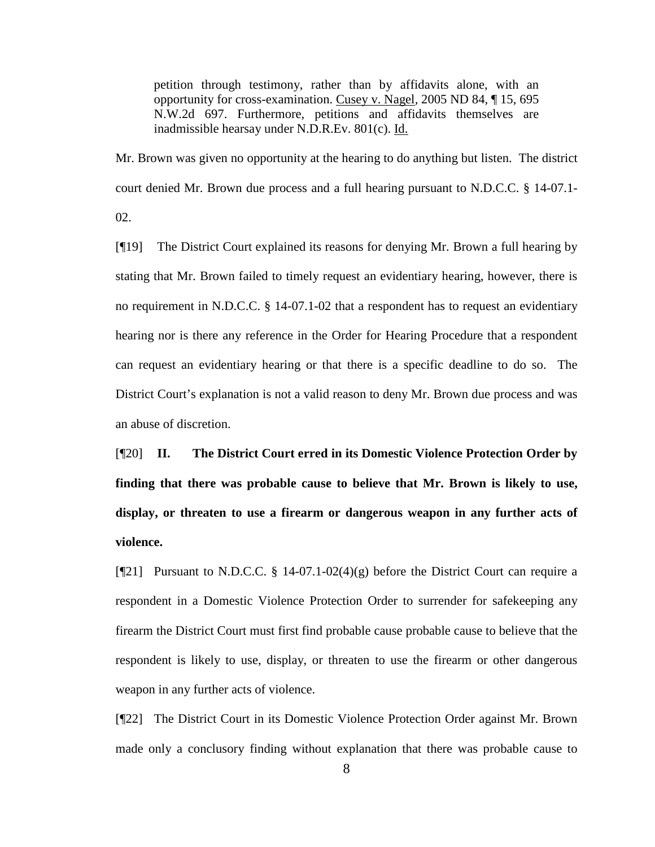petition through testimony, rather than by affidavits alone, with an opportunity for cross-examination. Cusey v. Nagel*,* 2005 ND 84, ¶ 15, 695 N.W.2d 697. Furthermore, petitions and affidavits themselves are inadmissible hearsay under N.D.R.Ev. 801(c). Id.

Mr. Brown was given no opportunity at the hearing to do anything but listen. The district court denied Mr. Brown due process and a full hearing pursuant to N.D.C.C. § 14-07.1- 02.

[¶19] The District Court explained its reasons for denying Mr. Brown a full hearing by stating that Mr. Brown failed to timely request an evidentiary hearing, however, there is no requirement in N.D.C.C. § 14-07.1-02 that a respondent has to request an evidentiary hearing nor is there any reference in the Order for Hearing Procedure that a respondent can request an evidentiary hearing or that there is a specific deadline to do so. The District Court's explanation is not a valid reason to deny Mr. Brown due process and was an abuse of discretion.

[¶20] **II. The District Court erred in its Domestic Violence Protection Order by finding that there was probable cause to believe that Mr. Brown is likely to use, display, or threaten to use a firearm or dangerous weapon in any further acts of violence.** 

 $[121]$  Pursuant to N.D.C.C. § 14-07.1-02(4)(g) before the District Court can require a respondent in a Domestic Violence Protection Order to surrender for safekeeping any firearm the District Court must first find probable cause probable cause to believe that the respondent is likely to use, display, or threaten to use the firearm or other dangerous weapon in any further acts of violence.

[¶22] The District Court in its Domestic Violence Protection Order against Mr. Brown made only a conclusory finding without explanation that there was probable cause to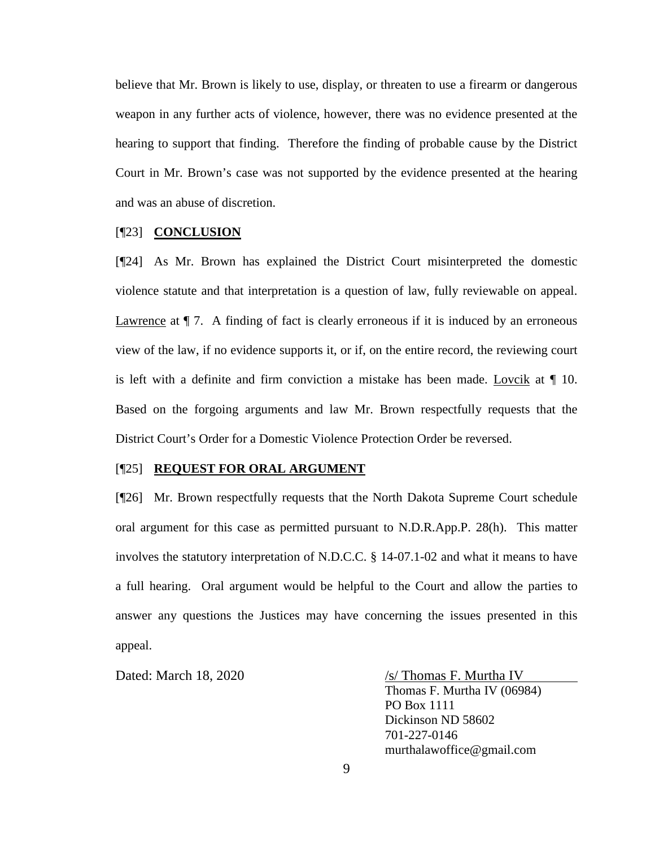believe that Mr. Brown is likely to use, display, or threaten to use a firearm or dangerous weapon in any further acts of violence, however, there was no evidence presented at the hearing to support that finding. Therefore the finding of probable cause by the District Court in Mr. Brown's case was not supported by the evidence presented at the hearing and was an abuse of discretion.

### [¶23] **CONCLUSION**

[¶24] As Mr. Brown has explained the District Court misinterpreted the domestic violence statute and that interpretation is a question of law, fully reviewable on appeal. Lawrence at  $\P$  7. A finding of fact is clearly erroneous if it is induced by an erroneous view of the law, if no evidence supports it, or if, on the entire record, the reviewing court is left with a definite and firm conviction a mistake has been made. Lovcik at  $\P$  10. Based on the forgoing arguments and law Mr. Brown respectfully requests that the District Court's Order for a Domestic Violence Protection Order be reversed.

#### [¶25] **REQUEST FOR ORAL ARGUMENT**

[¶26] Mr. Brown respectfully requests that the North Dakota Supreme Court schedule oral argument for this case as permitted pursuant to N.D.R.App.P. 28(h). This matter involves the statutory interpretation of N.D.C.C. § 14-07.1-02 and what it means to have a full hearing. Oral argument would be helpful to the Court and allow the parties to answer any questions the Justices may have concerning the issues presented in this appeal.

Dated: March 18, 2020  $\frac{\sqrt{s}}{\text{Thomas F. Murtha IV}}$ Thomas F. Murtha IV (06984) PO Box 1111 Dickinson ND 58602 701-227-0146 murthalawoffice@gmail.com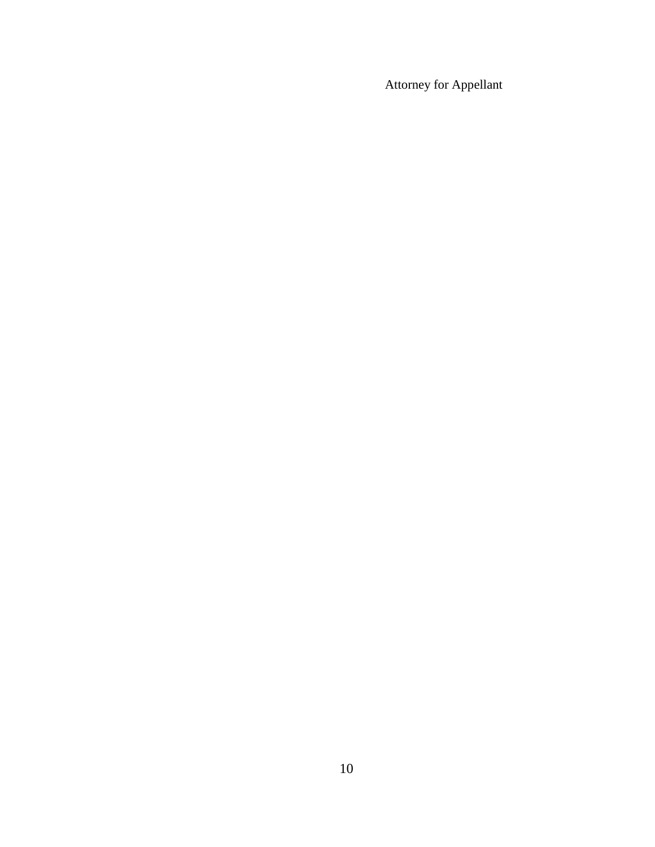Attorney for Appellant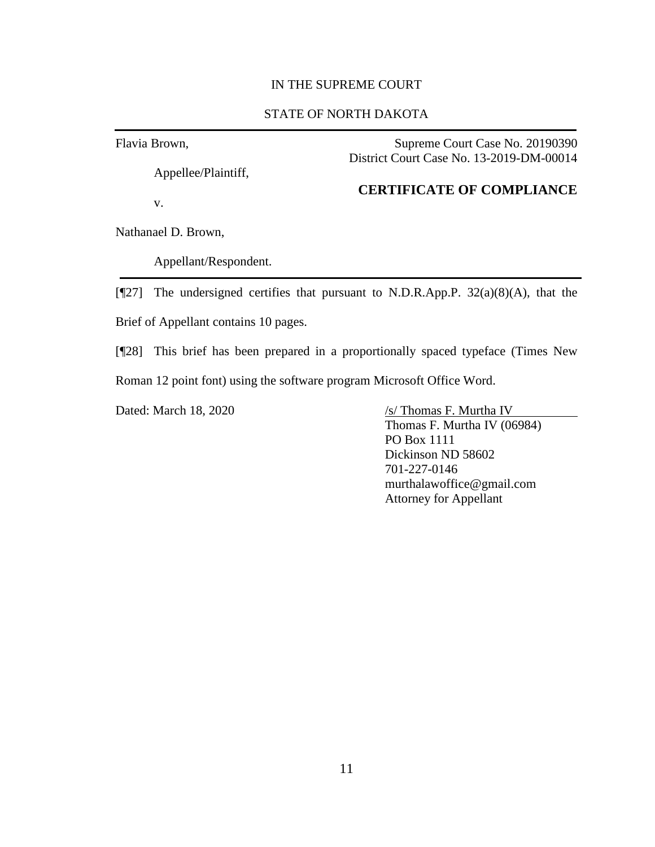#### IN THE SUPREME COURT

## STATE OF NORTH DAKOTA

Flavia Brown,

Appellee/Plaintiff,

v.

Supreme Court Case No. 20190390 District Court Case No. 13-2019-DM-00014

### **CERTIFICATE OF COMPLIANCE**

Nathanael D. Brown,

Appellant/Respondent.

[¶27] The undersigned certifies that pursuant to N.D.R.App.P. 32(a)(8)(A), that the Brief of Appellant contains 10 pages.

[¶28] This brief has been prepared in a proportionally spaced typeface (Times New Roman 12 point font) using the software program Microsoft Office Word.

Dated: March 18, 2020 /s/ Thomas F. Murtha IV

Thomas F. Murtha IV (06984) PO Box 1111 Dickinson ND 58602 701-227-0146 murthalawoffice@gmail.com Attorney for Appellant